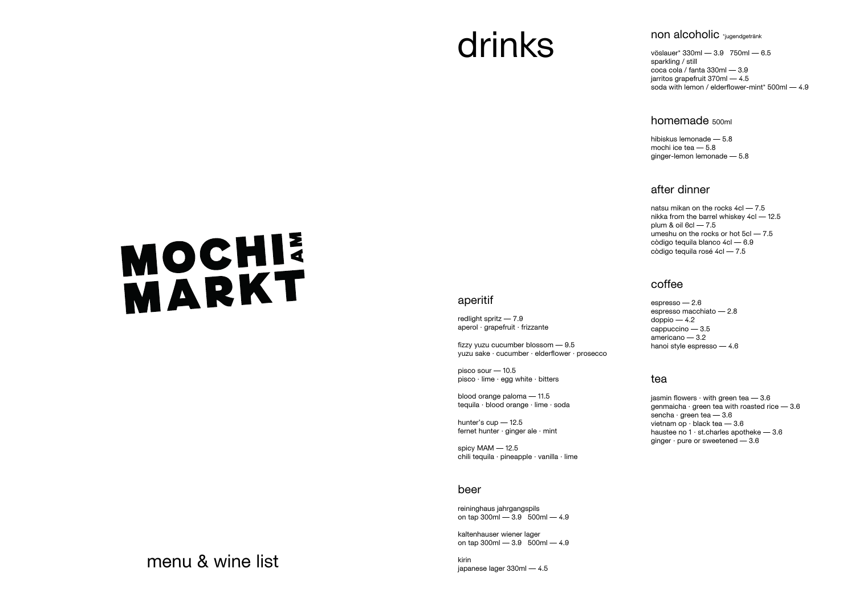### menu & wine list

#### non alcoholic \*jugendgetränk

## drinks

# MOCHI

#### aperitif

redlight spritz — 7.9 aperol · grapefruit · frizzante

fizzy yuzu cucumber blossom — 9.5 yuzu sake · cucumber · elderflower · prosecco

pisco sour — 10.5 pisco · lime · egg white · bitters

blood orange paloma — 11.5 tequila · blood orange · lime · soda

hunter's cup — 12.5 fernet hunter · ginger ale · mint

spicy MAM — 12.5 chili tequila · pineapple · vanilla · lime

#### beer

reininghaus jahrgangspils on tap 300ml — 3.9 500ml — 4.9

kaltenhauser wiener lager on tap 300ml — 3.9 500ml — 4.9

kirin japanese lager 330ml — 4.5 vöslauer\* 330ml — 3.9 750ml — 6.5 sparkling / still coca cola / fanta 330ml — 3.9 jarritos grapefruit 370ml — 4.5 soda with lemon / elderflower-mint\* 500ml — 4.9

#### homemade 500ml

hibiskus lemonade — 5.8 mochi ice tea — 5.8 ginger-lemon lemonade — 5.8

#### after dinner

natsu mikan on the rocks 4cl — 7.5 nikka from the barrel whiskey 4cl — 12.5 plum & oil 6cl — 7.5 umeshu on the rocks or hot 5cl — 7.5 còdigo tequila blanco 4cl — 6.9 còdigo tequila rosé 4cl — 7.5

#### coffee

espresso — 2.6 espresso macchiato — 2.8  $d$ oppio — 4.2 cappuccino — 3.5 americano — 3.2 hanoi style espresso — 4.6

#### tea

iasmin flowers  $\cdot$  with green tea  $-3.6$ genmaicha  $\cdot$  green tea with roasted rice  $-3.6$ sencha · green tea — 3.6 vietnam op · black tea — 3.6 haustee no  $1 \cdot$  st.charles apotheke  $-3.6$ ginger  $\cdot$  pure or sweetened  $-3.6$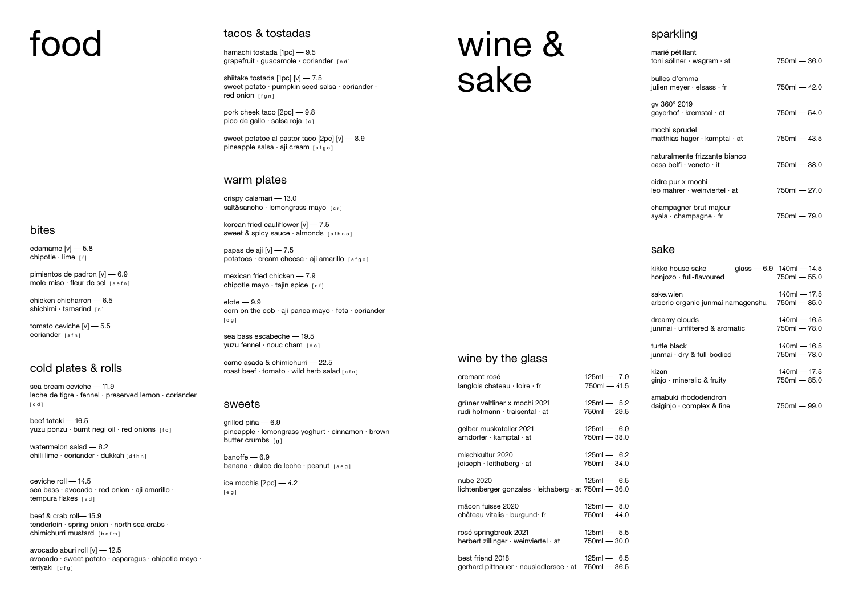# food

#### bites

edamame  $[v]$   $-$  5.8 chipotle  $\cdot$  lime  $\lceil f \rceil$ 

pimientos de padron [v] — 6.9 mole-miso  $\cdot$  fleur de sel  $[a \cdot f n]$ 

chicken chicharron — 6.5 shichimi  $\cdot$  tamarind  $[n]$ 

tomato ceviche [v] — 5.5 coriander [afn]

beef tataki — 16.5 yuzu ponzu · burnt negi oil · red onions [fo]

watermelon salad — 6.2 chili lime · coriander · dukkah [dfhn]

#### cold plates & rolls

ceviche roll — 14.5 sea bass · avocado · red onion · aji amarillo · tempura flakes [ad]

beef & crab roll— 15.9 tenderloin · spring onion · north sea crabs · chimichurri mustard [bcfm]

sea bream ceviche — 11.9 leche de tigre · fennel · preserved lemon · coriander [ c d ]

avocado aburi roll [v] — 12.5 avocado · sweet potato · asparagus · chipotle mayo · teriyaki [cfg]

hamachi tostada [1pc] — 9.5 grapefruit · guacamole · coriander [cd]

shiitake tostada [1pc] [v] — 7.5 sweet potato · pumpkin seed salsa · coriander · red onion [fgn]

pork cheek taco [2pc] — 9.8 pico de gallo · salsa roja [0]

sweet potatoe al pastor taco [2pc] [v] — 8.9 pineapple salsa  $\cdot$  aji cream  $[afgo]$ 

crispy calamari — 13.0 salt&sancho · lemongrass mayo [cr]

korean fried cauliflower  $[v]$  - 7.5 sweet & spicy sauce · almonds [afhno]

papas de aji [v] — 7.5 potatoes · cream cheese · aji amarillo [afgo]

mexican fried chicken — 7.9 chipotle mayo  $\cdot$  tajin spice  $[c f]$ 

 $e$ lote  $-9.9$ corn on the cob · aji panca mayo · feta · coriander [ c g ]

sea bass escabeche — 19.5 yuzu fennel · nouc cham [do]

carne asada & chimichurri — 22.5 roast beef  $\cdot$  tomato  $\cdot$  wild herb salad [afn]

#### tacos & tostadas

grilled piña — 6.9 pineapple · lemongrass yoghurt · cinnamon · brown butter crumbs  $[g]$ 

banoffe — 6.9 banana · dulce de leche · peanut [aeg]

#### warm plates

#### sweets

ice mochis [2pc] — 4.2 [ e g ]

## wine & sake

#### wine by the glass

| cremant rosé                                                                     | $125ml - 7.9$  |
|----------------------------------------------------------------------------------|----------------|
| langlois chateau $\cdot$ loire $\cdot$ fr                                        | $750m - 41.5$  |
| grüner veltliner x mochi 2021                                                    | $125ml - 5.2$  |
| rudi hofmann · traisental · at                                                   | 750ml — 29.5   |
| gelber muskateller 2021                                                          | $125ml - 6.9$  |
| $arndorfer \cdot kamptal \cdot at$                                               | 750ml — 38.0   |
| mischkultur 2020                                                                 | $125ml - 6.2$  |
| joiseph $\cdot$ leithaberg $\cdot$ at                                            | 750ml — 34.0   |
| nube 2020<br>lichtenberger gonzales $\cdot$ leithaberg $\cdot$ at 750ml $-$ 36.0 | $125ml - 6.5$  |
| mâcon fuisse 2020                                                                | $125ml - 8.0$  |
| château vitalis $\cdot$ burgund $\cdot$ fr                                       | 750ml — 44.0   |
| rosé springbreak 2021                                                            | $125ml - 5.5$  |
| herbert zillinger · weinviertel · at                                             | 750ml — 30.0   |
| best friend 2018                                                                 | $125ml - 6.5$  |
| gerhard pittnauer · neusiedlersee · at                                           | $750ml - 36.5$ |

#### sake

| kikko house sake<br>honjozo · full-flavoured      | glass $-6.9$ 140ml $-14.5$<br>$750ml - 55.0$ |
|---------------------------------------------------|----------------------------------------------|
| sake.wien<br>arborio organic junmai namagenshu    | $140m - 17.5$<br>$750ml - 85.0$              |
| dreamy clouds<br>junmai · unfiltered & aromatic   | $140m - 16.5$<br>750ml - 78.0                |
| turtle black<br>junmai · dry & full-bodied        | $140m - 16.5$<br>$750ml - 78.0$              |
| kizan<br>ginjo · mineralic & fruity               | $140m - 17.5$<br>$750ml - 85.0$              |
| amabuki rhododendron<br>daiginjo · complex & fine | 750ml - 99.0                                 |

#### sparkling

| marié pétillant<br>toni söllner $\cdot$ wagram $\cdot$ at        | $750m - 36.0$ |
|------------------------------------------------------------------|---------------|
| bulles d'emma<br>julien meyer $\cdot$ elsass $\cdot$ fr          | $750m - 42.0$ |
| gv 360° 2019<br>geyerhof · kremstal · at                         | 750ml — 54.0  |
| mochi sprudel<br>matthias hager $\cdot$ kamptal $\cdot$ at       | $750m - 43.5$ |
| naturalmente frizzante bianco<br>casa belfi · veneto · it        | $750m - 38.0$ |
| cidre pur x mochi<br>$leo$ mahrer $\cdot$ weinviertel $\cdot$ at | $750m - 27.0$ |
| champagner brut majeur<br>ayala $\cdot$ champagne $\cdot$ fr     | 750ml — 79.0  |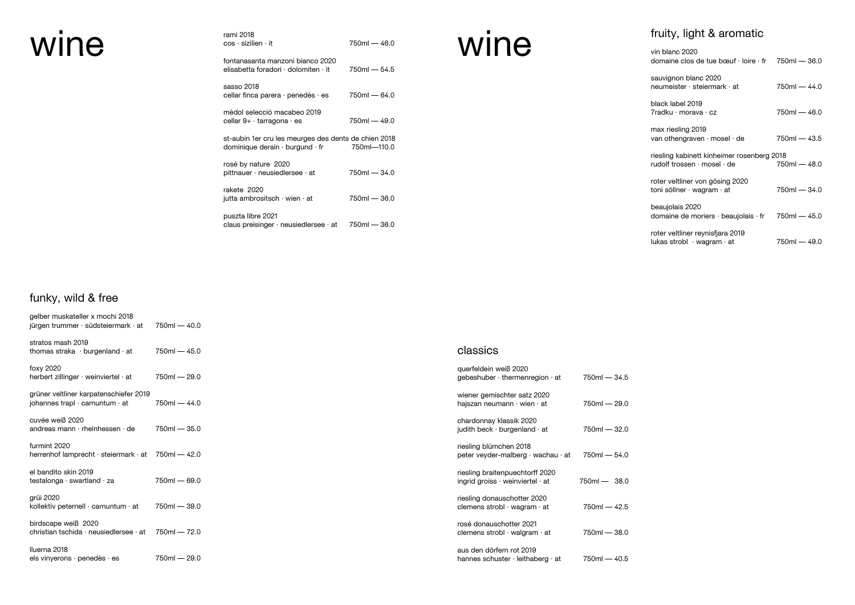| vin blanc 2020<br>domaine clos de tue bœuf $\cdot$ loire $\cdot$ fr 750ml - 36.0   |                |
|------------------------------------------------------------------------------------|----------------|
| sauvignon blanc 2020<br>neumeister · steiermark · at                               | 750ml - 44.0   |
| black label 2019<br>7radku · morava · cz                                           | $750ml - 46.0$ |
| max riesling 2019<br>van othengraven $\cdot$ mosel $\cdot$ de                      | $750ml - 43.5$ |
| riesling kabinett kinheimer rosenberg 2018<br>rudolf trossen · mosel · de          | $750ml - 48.0$ |
| roter veltliner von gösing 2020<br>toni söllner · wagram · at                      | 750ml — 34.0   |
| beaujolais 2020<br>domaine de moriers $\cdot$ beaujolais $\cdot$ fr 750ml $-$ 45.0 |                |
| roter veltliner reynisfjara 2019<br>lukas strobl $\cdot$ wagram $\cdot$ at         | 750ml — 49.0   |

|      | rami 2018                                                              |                |      | fruity, light & aromatic                                           |
|------|------------------------------------------------------------------------|----------------|------|--------------------------------------------------------------------|
| wine | $cos \cdot$ sizilien $\cdot$ it<br>fontanasanta manzoni bianco 2020    | $750ml - 46.0$ | wine | vin blanc 2020<br>domaine clos de tue bœuf · loire · t             |
|      | elisabetta foradori · dolomiten · it                                   | $750ml - 54.5$ |      |                                                                    |
|      | sasso 2018<br>cellar finca parera $\cdot$ penedès $\cdot$ es           | 750ml — 64.0   |      | sauvignon blanc 2020<br>neumeister · steiermark · at               |
|      | mèdol selecció macabeo 2019                                            |                |      | black label 2019<br>7radku · morava · cz                           |
|      | cellar $9+ \cdot$ tarragona $\cdot$ es                                 | 750ml — 49.0   |      |                                                                    |
|      | st-aubin 1er cru les meurges des dents de chien 2018                   |                |      | max riesling 2019<br>van othengraven $\cdot$ mosel $\cdot$ de      |
|      | dominique derain $\cdot$ burgund $\cdot$ fr<br>rosé by nature 2020     | 750ml-110.0    |      | riesling kabinett kinheimer rosenbe<br>rudolf trossen · mosel · de |
|      | pittnauer $\cdot$ neusiedlersee $\cdot$ at                             | $750ml - 34.0$ |      | roter veltliner von gösing 2020                                    |
|      | rakete 2020                                                            |                |      | toni söllner · wagram · at                                         |
|      | jutta ambrositsch $\cdot$ wien $\cdot$ at                              | $750ml - 36.0$ |      | beaujolais 2020                                                    |
|      | puszta libre 2021<br>claus preisinger $\cdot$ neusiedlersee $\cdot$ at | 750ml - 36.0   |      | domaine de moriers · beaujolais · fi                               |
|      |                                                                        |                |      | roter veltliner revnisfiere 2019                                   |

#### funky, wild & free

| gelber muskateller x mochi 2018<br>jürgen trummer $\cdot$ südsteiermark $\cdot$ at    | $750ml - 40.0$ |                                                                                 |                |
|---------------------------------------------------------------------------------------|----------------|---------------------------------------------------------------------------------|----------------|
| stratos mash 2019<br>thomas straka $\cdot$ burgenland $\cdot$ at                      | $750ml - 45.0$ | classics                                                                        |                |
| foxy 2020<br>herbert zillinger · weinviertel · at                                     | 750ml - 29.0   | querfeldein weiß 2020<br>gebeshuber · thermenregion · at                        | $750m - 34.5$  |
| grüner veltliner karpatenschiefer 2019<br>johannes trapl $\cdot$ carnuntum $\cdot$ at | $750ml - 44.0$ | wiener gemischter satz 2020<br>hajszan neumann · wien · at                      | 750ml - 29.0   |
| cuvée weiß 2020<br>andreas mann $\cdot$ rheinhessen $\cdot$ de                        | $750ml - 35.0$ | chardonnay klassik 2020<br>judith beck $\cdot$ burgenland $\cdot$ at            | $750ml - 32.0$ |
| furmint 2020<br>herrenhof lamprecht · steiermark · at                                 | 750ml — 42.0   | riesling blümchen 2018<br>peter veyder-malberg · wachau · at                    | $750ml - 54.0$ |
| el bandito skin 2019<br>testalonga $\cdot$ swartland $\cdot$ za                       | $750ml - 69.0$ | riesling braitenpuechtorff 2020<br>ingrid groiss $\cdot$ weinviertel $\cdot$ at | $750ml - 38.0$ |
| grüi 2020<br>kollektiv peternell · carnuntum · at                                     | $750ml - 39.0$ | riesling donauschotter 2020<br>clemens strobl $\cdot$ wagram $\cdot$ at         | $750ml - 42.5$ |
| birdscape weiß 2020<br>christian tschida $\cdot$ neusiedlersee $\cdot$ at             | $750m - 72.0$  | rosé donauschotter 2021<br>clemens strobl · walgram · at                        | $750ml - 38.0$ |
| Iluerna 2018<br>els vinyerons $\cdot$ penedès $\cdot$ es                              | $750ml - 29.0$ | aus den dörfern rot 2019<br>hannes schuster $\cdot$ leithaberg $\cdot$ at       | $750ml - 40.5$ |